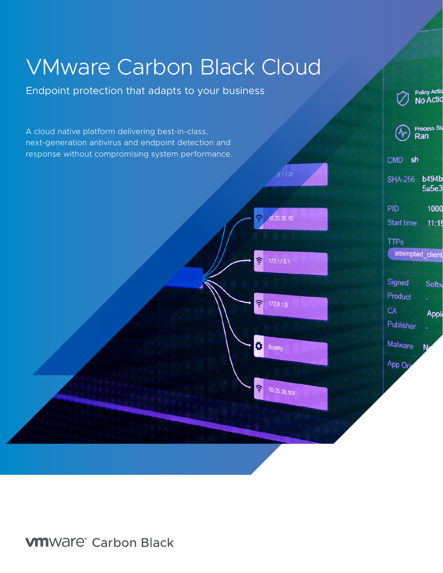# VMware Carbon Black Cloud

Endpoint protection that adapts to your business



Policy Actio

**VM**Ware<sup>®</sup> Carbon Black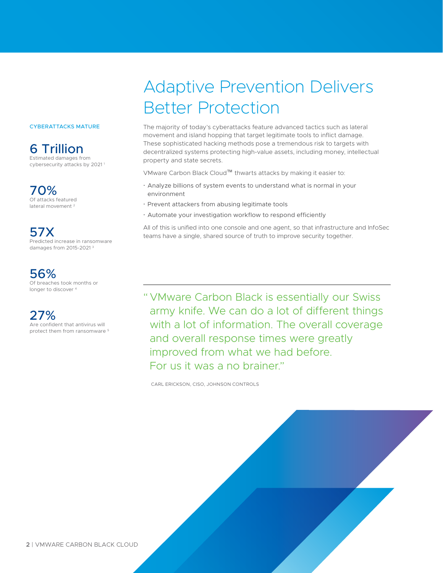#### CYBERATTACKS MATURE

6 Trillion Estimated damages from cybersecurity attacks by 2021<sup>1</sup>

70% Of attacks featured lateral movement 2

57X Predicted increase in ransomware damages from 2015-2021 3

## 56%

Of breaches took months or longer to discover<sup>4</sup>

27% Are confident that antivirus will protect them from ransomware 5

## Adaptive Prevention Delivers Better Protection

The majority of today's cyberattacks feature advanced tactics such as lateral movement and island hopping that target legitimate tools to inflict damage. These sophisticated hacking methods pose a tremendous risk to targets with decentralized systems protecting high-value assets, including money, intellectual property and state secrets.

VMware Carbon Black Cloud™ thwarts attacks by making it easier to:

- Analyze billions of system events to understand what is normal in your environment
- Prevent attackers from abusing legitimate tools
- Automate your investigation workflow to respond efficiently

All of this is unified into one console and one agent, so that infrastructure and InfoSec teams have a single, shared source of truth to improve security together.

" VMware Carbon Black is essentially our Swiss army knife. We can do a lot of different things with a lot of information. The overall coverage and overall response times were greatly improved from what we had before. For us it was a no brainer."

CARL ERICKSON, CISO, JOHNSON CONTROLS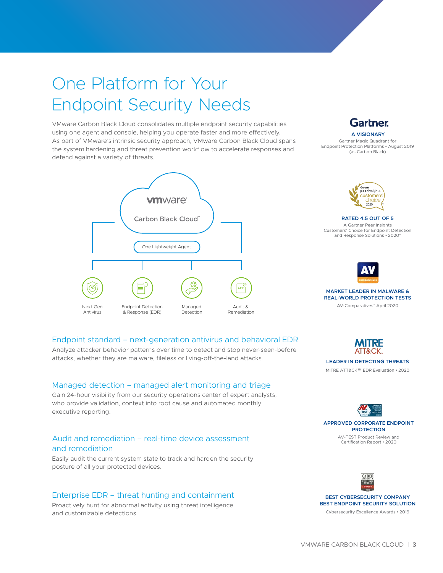## One Platform for Your Endpoint Security Needs

defend against a variety of threats. VMware Carbon Black Cloud consolidates multiple endpoint security capabilities using one agent and console, helping you operate faster and more effectively. As part of VMware's intrinsic security approach, VMware Carbon Black Cloud spans the system hardening and threat prevention workflow to accelerate responses and



### **Gartner A VISIONARY**

Gartner Magic Quadrant for Endpoint Protection Platforms • August 2019 (as Carbon Black)



**RATED 4.5 OUT OF 5**

A Gartner Peer Insights Customers' Choice for Endpoint Detection and Response Solutions • 2020\*



#### **MARKET LEADER IN MALWARE & REAL-WORLD PROTECTION TESTS**

AV-Comparatives\* April 2020



#### **LEADER IN DETECTING THREATS**

MITRE ATT&CK™ EDR Evaluation • 2020



AV-TEST Product Review and Certification Report • 2020



**BEST CYBERSECURITY COMPANY BEST ENDPOINT SECURITY SOLUTION**

Cybersecurity Excellence Awards • 2019

### Endpoint standard – next-generation antivirus and behavioral EDR

Analyze attacker behavior patterns over time to detect and stop never-seen-before attacks, whether they are malware, fileless or living-off-the-land attacks.

#### Managed detection – managed alert monitoring and triage

Gain 24-hour visibility from our security operations center of expert analysts, who provide validation, context into root cause and automated monthly executive reporting.

#### Audit and remediation – real-time device assessment and remediation

Easily audit the current system state to track and harden the security posture of all your protected devices.

#### Enterprise EDR – threat hunting and containment

Proactively hunt for abnormal activity using threat intelligence and customizable detections.